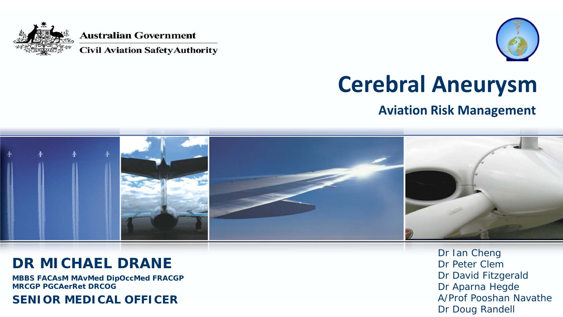

**Australian Government** 

**Civil Aviation Safety Authority** 



## **Cerebral Aneurysm**

#### **Aviation Risk Management**



#### **DR MICHAEL DRANE**

**MBBS FACAsM MAvMed DipOccMed FRACGP MRCGP PGCAerRet DRCOG**

#### **SENIOR MEDICAL OFFICER**

Dr Ian Cheng Dr Peter Clem Dr David Fitzgerald Dr Aparna Hegde A/Prof Pooshan Navathe Dr Doug Randell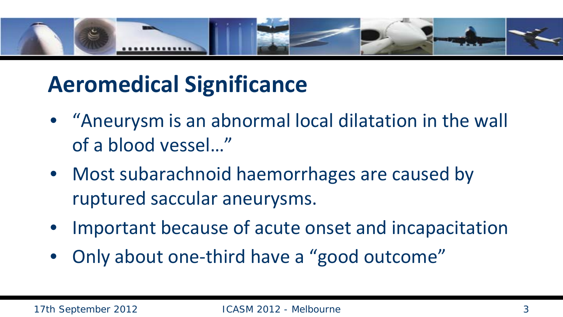

## **Aeromedical Significance**

- "Aneurysm is an abnormal local dilatation in the wall of a blood vessel…"
- Most subarachnoid haemorrhages are caused by ruptured saccular aneurysms.
- Important because of acute onset and incapacitation
- Only about one-third have a "good outcome"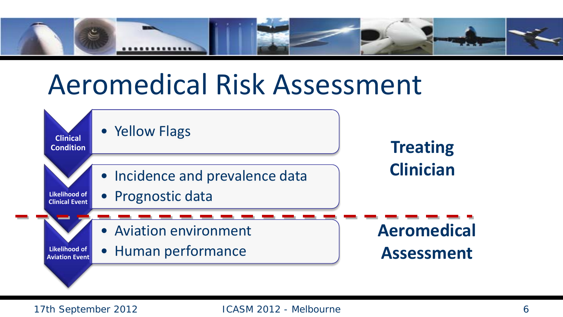

# Aeromedical Risk Assessment

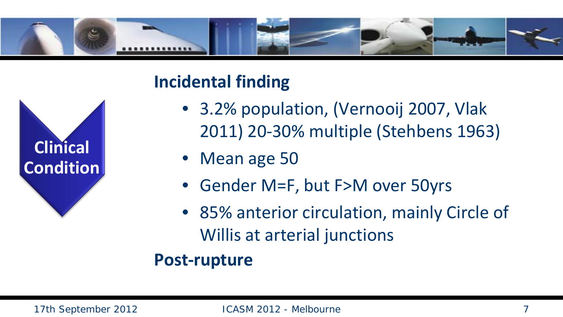





- 3.2% population, (Vernooij 2007, Vlak 2011) 20-30% multiple (Stehbens 1963)
- Mean age 50
- Gender M=F, but F>M over 50yrs
- 85% anterior circulation, mainly Circle of Willis at arterial junctions

#### **Post-rupture**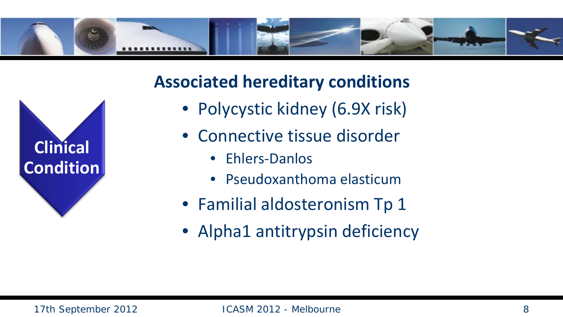



- Polycystic kidney (6.9X risk)
- Connective tissue disorder
	- Ehlers-Danlos
	- Pseudoxanthoma elasticum
- Familial aldosteronism Tp 1
- Alpha1 antitrypsin deficiency

**Clinical** 

**Condition**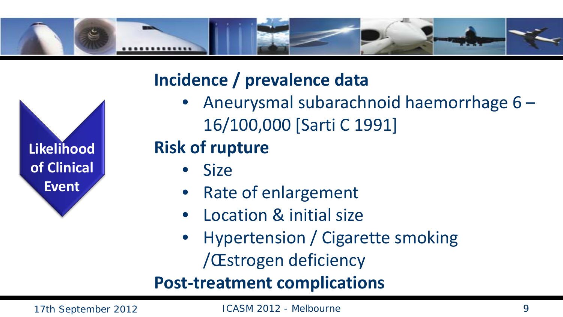

#### **Incidence / prevalence data**

• Aneurysmal subarachnoid haemorrhage 6 – 16/100,000 [Sarti C 1991]

#### **Risk of rupture**

- Size
- Rate of enlargement
- Location & initial size
- Hypertension / Cigarette smoking /Œstrogen deficiency

**Post-treatment complications**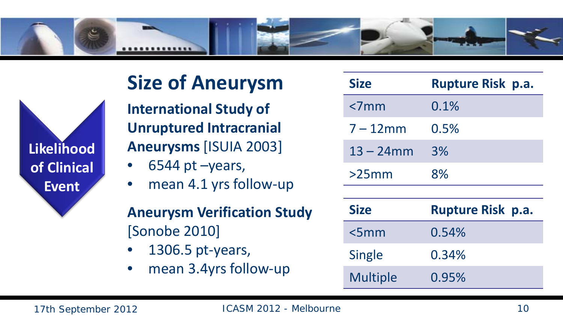

#### **Size of Aneurysm**

**International Study of Unruptured Intracranial Aneurysms** [ISUIA 2003]

- $6544$  pt  $-$ years,
- mean 4.1 yrs follow-up

#### **Aneurysm Verification Study**  [Sonobe 2010]

- 1306.5 pt-years,
- mean 3.4yrs follow-up

| <b>Size</b>  | <b>Rupture Risk p.a.</b> |
|--------------|--------------------------|
| $< 7$ mm     | 0.1%                     |
| $7 - 12$ mm  | 0.5%                     |
| $13 - 24$ mm | 3%                       |
| $>25$ mm     | 8%                       |
|              |                          |
|              |                          |
| <b>Size</b>  | <b>Rupture Risk p.a.</b> |
| <5mm         | 0.54%                    |
| Single       | 0.34%                    |

**Likelihood** 

**of Clinical** 

**Event**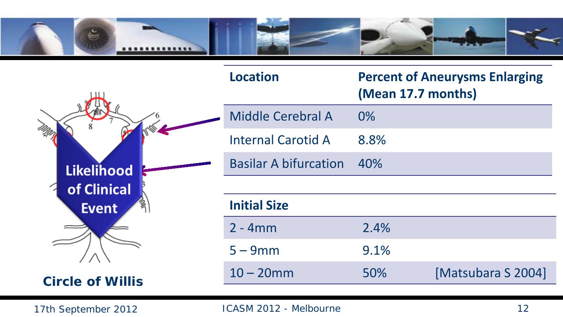

|                         | <b>Location</b>              | <b>Percent of Aneurysms Enlarging</b><br>(Mean 17.7 months) |                    |
|-------------------------|------------------------------|-------------------------------------------------------------|--------------------|
|                         | Middle Cerebral A            | 0%                                                          |                    |
|                         | <b>Internal Carotid A</b>    | 8.8%                                                        |                    |
| <b>Likelihood</b>       | <b>Basilar A bifurcation</b> | 40%                                                         |                    |
| of Clinical             |                              |                                                             |                    |
| <b>Event</b>            | <b>Initial Size</b>          |                                                             |                    |
|                         | $2 - 4mm$                    | 2.4%                                                        |                    |
|                         | $5 - 9$ mm                   | 9.1%                                                        |                    |
| <b>Circle of Willis</b> | $10 - 20$ mm                 | 50%                                                         | [Matsubara S 2004] |
|                         |                              |                                                             |                    |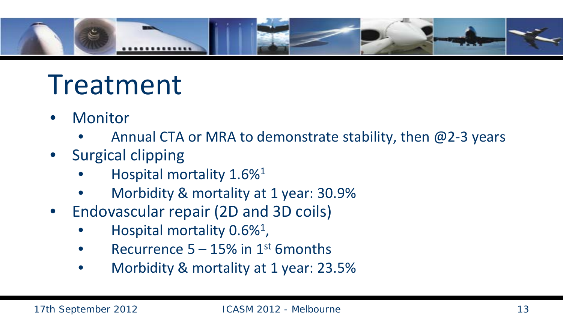

# Treatment

- **Monitor** 
	- Annual CTA or MRA to demonstrate stability, then  $@2-3$  years
- Surgical clipping
	- Hospital mortality 1.6%1
	- Morbidity & mortality at 1 year: 30.9%
- Endovascular repair (2D and 3D coils)
	- Hospital mortality  $0.6\%$ <sup>1</sup>,
	- Recurrence  $5 15\%$  in 1st 6 months
	- Morbidity & mortality at 1 year: 23.5%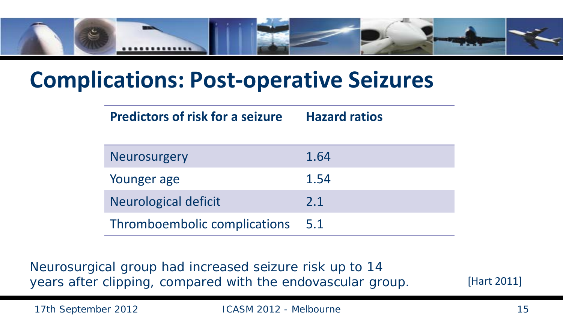

#### **Complications: Post-operative Seizures**

| <b>Predictors of risk for a seizure</b> | <b>Hazard ratios</b> |
|-----------------------------------------|----------------------|
| Neurosurgery                            | 1.64                 |
| Younger age                             | 1.54                 |
| Neurological deficit                    | 2.1                  |
| Thromboembolic complications            | 5.1                  |

Neurosurgical group had increased seizure risk up to 14 years after clipping, compared with the endovascular group.

[Hart 2011]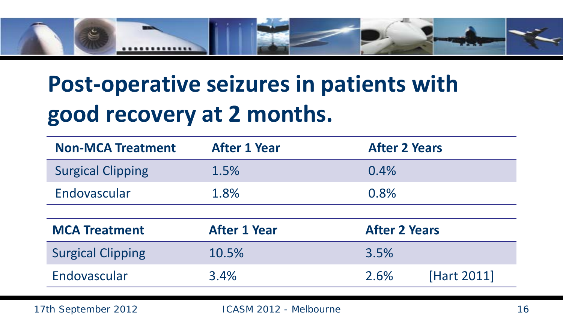

## **Post-operative seizures in patients with good recovery at 2 months.**

| <b>Non-MCA Treatment</b> | <b>After 1 Year</b> | <b>After 2 Years</b> |
|--------------------------|---------------------|----------------------|
| <b>Surgical Clipping</b> | 1.5%                | 0.4%                 |
| Endovascular             | 1.8%                | 0.8%                 |
|                          |                     |                      |
|                          |                     |                      |
| <b>MCA Treatment</b>     | <b>After 1 Year</b> | <b>After 2 Years</b> |
| <b>Surgical Clipping</b> | 10.5%               | 3.5%                 |
| Endovascular             | 3.4%                | [Hart 2011]<br>2.6%  |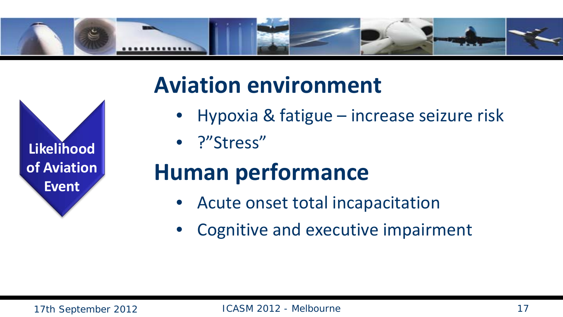

## **Aviation environment**

- Hypoxia & fatigue increase seizure risk
- ?"Stress"

## **Human performance**

- Acute onset total incapacitation
- Cognitive and executive impairment

**Likelihood** 

**of Aviation** 

**Event**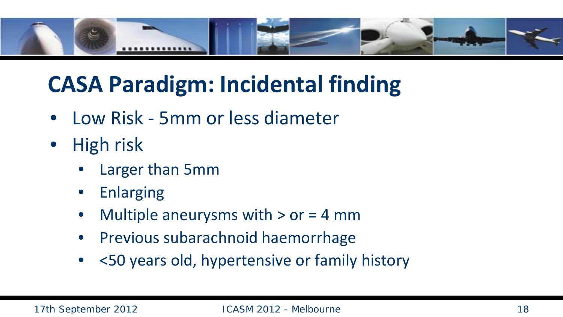

## **CASA Paradigm: Incidental finding**

- Low Risk 5mm or less diameter
- High risk
	- Larger than 5mm
	- **Enlarging**
	- Multiple aneurysms with  $>$  or = 4 mm
	- Previous subarachnoid haemorrhage
	- <50 years old, hypertensive or family history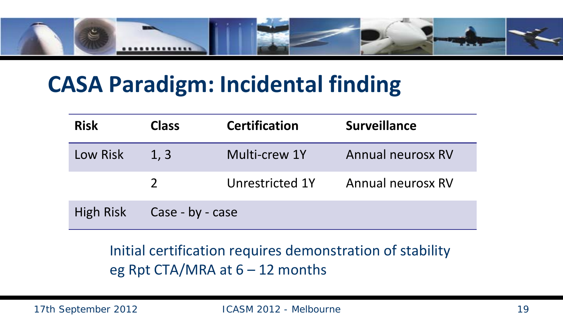

## **CASA Paradigm: Incidental finding**

| <b>Risk</b>      | <b>Class</b>     | <b>Certification</b> | <b>Surveillance</b> |
|------------------|------------------|----------------------|---------------------|
| Low Risk         | 1, 3             | Multi-crew 1Y        | Annual neurosx RV   |
|                  |                  | Unrestricted 1Y      | Annual neurosx RV   |
| <b>High Risk</b> | Case - by - case |                      |                     |

Initial certification requires demonstration of stability eg Rpt CTA/MRA at  $6 - 12$  months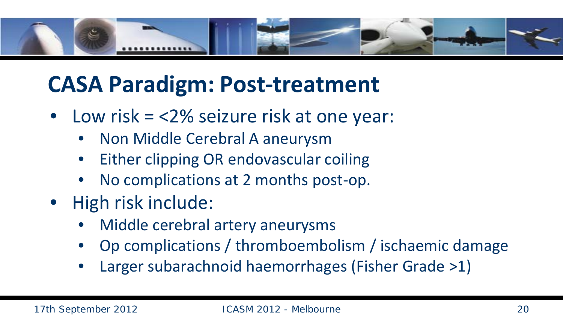

## **CASA Paradigm: Post-treatment**

- Low risk = <2% seizure risk at one year:
	- Non Middle Cerebral A aneurysm
	- Either clipping OR endovascular coiling
	- No complications at 2 months post-op.
- High risk include:
	- Middle cerebral artery aneurysms
	- Op complications / thromboembolism / ischaemic damage
	- Larger subarachnoid haemorrhages (Fisher Grade >1)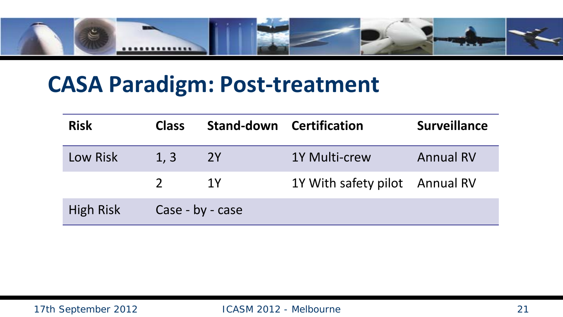

#### **CASA Paradigm: Post-treatment**

| <b>Risk</b> | <b>Class</b>     |    | <b>Stand-down Certification</b> | <b>Surveillance</b> |
|-------------|------------------|----|---------------------------------|---------------------|
| Low Risk    | 1, 3             | 2Y | <b>1Y Multi-crew</b>            | <b>Annual RV</b>    |
|             | $\mathcal{P}$    | 1Y | 1Y With safety pilot Annual RV  |                     |
| High Risk   | Case - by - case |    |                                 |                     |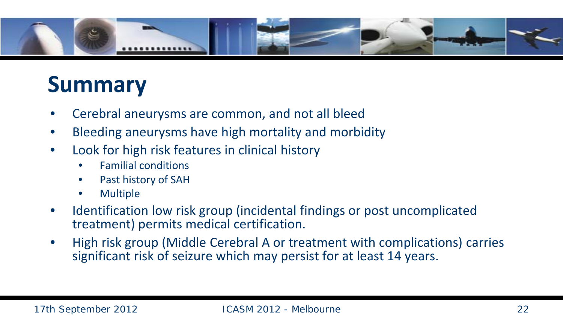

## **Summary**

- Cerebral aneurysms are common, and not all bleed
- Bleeding aneurysms have high mortality and morbidity
- Look for high risk features in clinical history
	- Familial conditions
	- Past history of SAH
	- Multiple
- Identification low risk group (incidental findings or post uncomplicated treatment) permits medical certification.
- High risk group (Middle Cerebral A or treatment with complications) carries significant risk of seizure which may persist for at least 14 years.